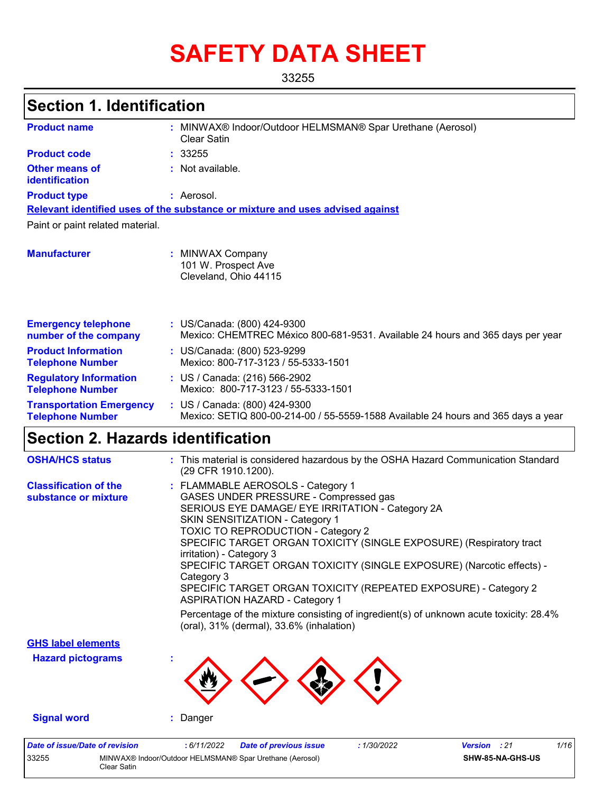# **SAFETY DATA SHEET**

33255

### **Section 1. Identification**

| <b>Product name</b>                                        | : MINWAX® Indoor/Outdoor HELMSMAN® Spar Urethane (Aerosol)<br>Clear Satin                                          |
|------------------------------------------------------------|--------------------------------------------------------------------------------------------------------------------|
| <b>Product code</b>                                        | : 33255                                                                                                            |
| <b>Other means of</b><br>identification                    | : Not available.                                                                                                   |
| <b>Product type</b>                                        | : Aerosol.                                                                                                         |
|                                                            | Relevant identified uses of the substance or mixture and uses advised against                                      |
| Paint or paint related material.                           |                                                                                                                    |
| <b>Manufacturer</b>                                        | : MINWAX Company<br>101 W. Prospect Ave<br>Cleveland, Ohio 44115                                                   |
| <b>Emergency telephone</b><br>number of the company        | : US/Canada: (800) 424-9300<br>Mexico: CHEMTREC México 800-681-9531. Available 24 hours and 365 days per year      |
| <b>Product Information</b><br><b>Telephone Number</b>      | : US/Canada: (800) 523-9299<br>Mexico: 800-717-3123 / 55-5333-1501                                                 |
| <b>Regulatory Information</b><br><b>Telephone Number</b>   | : US / Canada: (216) 566-2902<br>Mexico: 800-717-3123 / 55-5333-1501                                               |
| <b>Transportation Emergency</b><br><b>Telephone Number</b> | : US / Canada: (800) 424-9300<br>Mexico: SETIQ 800-00-214-00 / 55-5559-1588 Available 24 hours and 365 days a year |

### **Section 2. Hazards identification**

Clear Satin

| <b>OSHA/HCS status</b>                               | : This material is considered hazardous by the OSHA Hazard Communication Standard<br>(29 CFR 1910.1200).                                                                                                                                                                                                                                                                                                                                                                                                                                                                                                                                                   |
|------------------------------------------------------|------------------------------------------------------------------------------------------------------------------------------------------------------------------------------------------------------------------------------------------------------------------------------------------------------------------------------------------------------------------------------------------------------------------------------------------------------------------------------------------------------------------------------------------------------------------------------------------------------------------------------------------------------------|
| <b>Classification of the</b><br>substance or mixture | : FLAMMABLE AEROSOLS - Category 1<br>GASES UNDER PRESSURE - Compressed gas<br>SERIOUS EYE DAMAGE/ EYE IRRITATION - Category 2A<br>SKIN SENSITIZATION - Category 1<br><b>TOXIC TO REPRODUCTION - Category 2</b><br>SPECIFIC TARGET ORGAN TOXICITY (SINGLE EXPOSURE) (Respiratory tract<br>irritation) - Category 3<br>SPECIFIC TARGET ORGAN TOXICITY (SINGLE EXPOSURE) (Narcotic effects) -<br>Category 3<br>SPECIFIC TARGET ORGAN TOXICITY (REPEATED EXPOSURE) - Category 2<br><b>ASPIRATION HAZARD - Category 1</b><br>Percentage of the mixture consisting of ingredient(s) of unknown acute toxicity: 28.4%<br>(oral), 31% (dermal), 33.6% (inhalation) |
| <b>GHS label elements</b>                            |                                                                                                                                                                                                                                                                                                                                                                                                                                                                                                                                                                                                                                                            |
| <b>Hazard pictograms</b>                             |                                                                                                                                                                                                                                                                                                                                                                                                                                                                                                                                                                                                                                                            |
| <b>Signal word</b>                                   | : Danger                                                                                                                                                                                                                                                                                                                                                                                                                                                                                                                                                                                                                                                   |
| <b>Date of issue/Date of revision</b><br>33255       | 1/16<br>:6/11/2022<br>:1/30/2022<br><b>Version</b> : 21<br><b>Date of previous issue</b><br>MINWAX® Indoor/Outdoor HELMSMAN® Spar Urethane (Aerosol)<br>SHW-85-NA-GHS-US                                                                                                                                                                                                                                                                                                                                                                                                                                                                                   |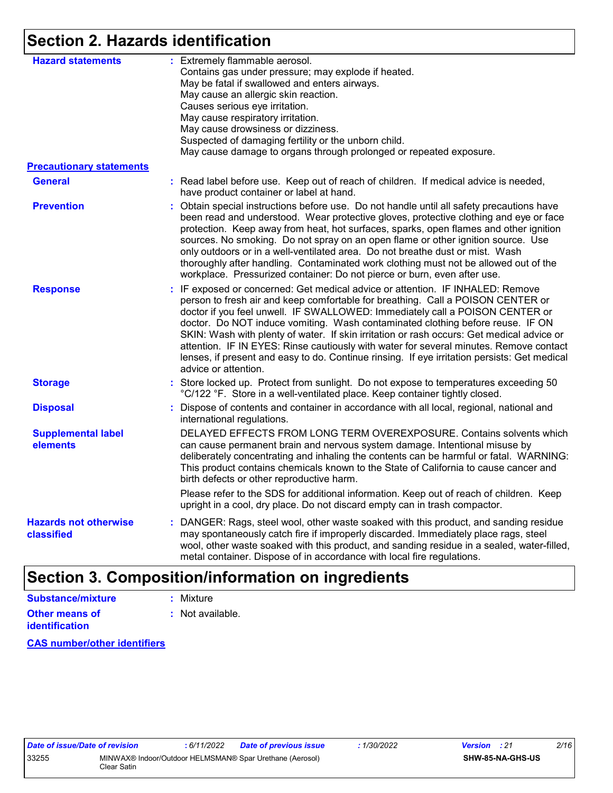### **Section 2. Hazards identification**

| <b>Hazard statements</b>                   | : Extremely flammable aerosol.<br>Contains gas under pressure; may explode if heated.<br>May be fatal if swallowed and enters airways.<br>May cause an allergic skin reaction.<br>Causes serious eye irritation.                                                                                                                                                                                                                                                                                                                                                                                                                                   |
|--------------------------------------------|----------------------------------------------------------------------------------------------------------------------------------------------------------------------------------------------------------------------------------------------------------------------------------------------------------------------------------------------------------------------------------------------------------------------------------------------------------------------------------------------------------------------------------------------------------------------------------------------------------------------------------------------------|
|                                            | May cause respiratory irritation.<br>May cause drowsiness or dizziness.<br>Suspected of damaging fertility or the unborn child.<br>May cause damage to organs through prolonged or repeated exposure.                                                                                                                                                                                                                                                                                                                                                                                                                                              |
| <b>Precautionary statements</b>            |                                                                                                                                                                                                                                                                                                                                                                                                                                                                                                                                                                                                                                                    |
| <b>General</b>                             | : Read label before use. Keep out of reach of children. If medical advice is needed,<br>have product container or label at hand.                                                                                                                                                                                                                                                                                                                                                                                                                                                                                                                   |
| <b>Prevention</b>                          | : Obtain special instructions before use. Do not handle until all safety precautions have<br>been read and understood. Wear protective gloves, protective clothing and eye or face<br>protection. Keep away from heat, hot surfaces, sparks, open flames and other ignition<br>sources. No smoking. Do not spray on an open flame or other ignition source. Use<br>only outdoors or in a well-ventilated area. Do not breathe dust or mist. Wash<br>thoroughly after handling. Contaminated work clothing must not be allowed out of the<br>workplace. Pressurized container: Do not pierce or burn, even after use.                               |
| <b>Response</b>                            | : IF exposed or concerned: Get medical advice or attention. IF INHALED: Remove<br>person to fresh air and keep comfortable for breathing. Call a POISON CENTER or<br>doctor if you feel unwell. IF SWALLOWED: Immediately call a POISON CENTER or<br>doctor. Do NOT induce vomiting. Wash contaminated clothing before reuse. IF ON<br>SKIN: Wash with plenty of water. If skin irritation or rash occurs: Get medical advice or<br>attention. IF IN EYES: Rinse cautiously with water for several minutes. Remove contact<br>lenses, if present and easy to do. Continue rinsing. If eye irritation persists: Get medical<br>advice or attention. |
| <b>Storage</b>                             | : Store locked up. Protect from sunlight. Do not expose to temperatures exceeding 50<br>°C/122 °F. Store in a well-ventilated place. Keep container tightly closed.                                                                                                                                                                                                                                                                                                                                                                                                                                                                                |
| <b>Disposal</b>                            | : Dispose of contents and container in accordance with all local, regional, national and<br>international regulations.                                                                                                                                                                                                                                                                                                                                                                                                                                                                                                                             |
| <b>Supplemental label</b><br>elements      | DELAYED EFFECTS FROM LONG TERM OVEREXPOSURE. Contains solvents which<br>can cause permanent brain and nervous system damage. Intentional misuse by<br>deliberately concentrating and inhaling the contents can be harmful or fatal. WARNING:<br>This product contains chemicals known to the State of California to cause cancer and<br>birth defects or other reproductive harm.                                                                                                                                                                                                                                                                  |
|                                            | Please refer to the SDS for additional information. Keep out of reach of children. Keep<br>upright in a cool, dry place. Do not discard empty can in trash compactor.                                                                                                                                                                                                                                                                                                                                                                                                                                                                              |
| <b>Hazards not otherwise</b><br>classified | : DANGER: Rags, steel wool, other waste soaked with this product, and sanding residue<br>may spontaneously catch fire if improperly discarded. Immediately place rags, steel<br>wool, other waste soaked with this product, and sanding residue in a sealed, water-filled,<br>metal container. Dispose of in accordance with local fire regulations.                                                                                                                                                                                                                                                                                               |

### **Section 3. Composition/information on ingredients**

**Other means of identification :** Not available. **Substance/mixture :** Mixture

**CAS number/other identifiers**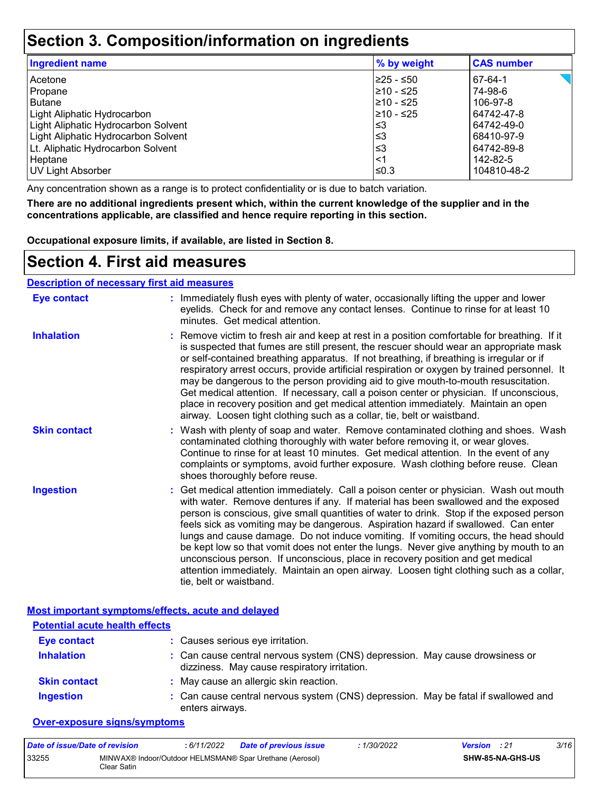### **Section 3. Composition/information on ingredients**

| Ingredient name                     | % by weight | <b>CAS number</b> |
|-------------------------------------|-------------|-------------------|
| Acetone                             | ≥25 - ≤50   | 67-64-1           |
| Propane                             | 210 - ≤25   | 74-98-6           |
| <b>Butane</b>                       | l≥10 - ≤25  | 106-97-8          |
| Light Aliphatic Hydrocarbon         | $≥10 - ≤25$ | 64742-47-8        |
| Light Aliphatic Hydrocarbon Solvent | ≤3          | 64742-49-0        |
| Light Aliphatic Hydrocarbon Solvent | ≤3          | 68410-97-9        |
| Lt. Aliphatic Hydrocarbon Solvent   | ≤3          | 64742-89-8        |
| Heptane                             | <1          | 142-82-5          |
| <b>UV Light Absorber</b>            | ≤0.3        | 104810-48-2       |

Any concentration shown as a range is to protect confidentiality or is due to batch variation.

**There are no additional ingredients present which, within the current knowledge of the supplier and in the concentrations applicable, are classified and hence require reporting in this section.**

**Occupational exposure limits, if available, are listed in Section 8.**

### **Section 4. First aid measures**

#### **Description of necessary first aid measures**

| <b>Eye contact</b>  | : Immediately flush eyes with plenty of water, occasionally lifting the upper and lower<br>eyelids. Check for and remove any contact lenses. Continue to rinse for at least 10<br>minutes. Get medical attention.                                                                                                                                                                                                                                                                                                                                                                                                                                                                                                                                       |
|---------------------|---------------------------------------------------------------------------------------------------------------------------------------------------------------------------------------------------------------------------------------------------------------------------------------------------------------------------------------------------------------------------------------------------------------------------------------------------------------------------------------------------------------------------------------------------------------------------------------------------------------------------------------------------------------------------------------------------------------------------------------------------------|
| <b>Inhalation</b>   | : Remove victim to fresh air and keep at rest in a position comfortable for breathing. If it<br>is suspected that fumes are still present, the rescuer should wear an appropriate mask<br>or self-contained breathing apparatus. If not breathing, if breathing is irregular or if<br>respiratory arrest occurs, provide artificial respiration or oxygen by trained personnel. It<br>may be dangerous to the person providing aid to give mouth-to-mouth resuscitation.<br>Get medical attention. If necessary, call a poison center or physician. If unconscious,<br>place in recovery position and get medical attention immediately. Maintain an open<br>airway. Loosen tight clothing such as a collar, tie, belt or waistband.                    |
| <b>Skin contact</b> | : Wash with plenty of soap and water. Remove contaminated clothing and shoes. Wash<br>contaminated clothing thoroughly with water before removing it, or wear gloves.<br>Continue to rinse for at least 10 minutes. Get medical attention. In the event of any<br>complaints or symptoms, avoid further exposure. Wash clothing before reuse. Clean<br>shoes thoroughly before reuse.                                                                                                                                                                                                                                                                                                                                                                   |
| <b>Ingestion</b>    | : Get medical attention immediately. Call a poison center or physician. Wash out mouth<br>with water. Remove dentures if any. If material has been swallowed and the exposed<br>person is conscious, give small quantities of water to drink. Stop if the exposed person<br>feels sick as vomiting may be dangerous. Aspiration hazard if swallowed. Can enter<br>lungs and cause damage. Do not induce vomiting. If vomiting occurs, the head should<br>be kept low so that vomit does not enter the lungs. Never give anything by mouth to an<br>unconscious person. If unconscious, place in recovery position and get medical<br>attention immediately. Maintain an open airway. Loosen tight clothing such as a collar,<br>tie, belt or waistband. |

| Most important symptoms/effects, acute and delaved |
|----------------------------------------------------|
|----------------------------------------------------|

| <b>Potential acute health effects</b> |                                                                                                                              |
|---------------------------------------|------------------------------------------------------------------------------------------------------------------------------|
| <b>Eye contact</b>                    | : Causes serious eye irritation.                                                                                             |
| <b>Inhalation</b>                     | : Can cause central nervous system (CNS) depression. May cause drowsiness or<br>dizziness. May cause respiratory irritation. |
| <b>Skin contact</b>                   | : May cause an allergic skin reaction.                                                                                       |
| <b>Ingestion</b>                      | : Can cause central nervous system (CNS) depression. May be fatal if swallowed and<br>enters airways.                        |

#### **Over-exposure signs/symptoms**

| Date of issue/Date of revision |             | 6/11/2022 | <b>Date of previous issue</b>                            | 1/30/2022 | <b>Version</b> : 21 |                  | 3/16 |
|--------------------------------|-------------|-----------|----------------------------------------------------------|-----------|---------------------|------------------|------|
| 33255                          | Clear Satin |           | MINWAX® Indoor/Outdoor HELMSMAN® Spar Urethane (Aerosol) |           |                     | SHW-85-NA-GHS-US |      |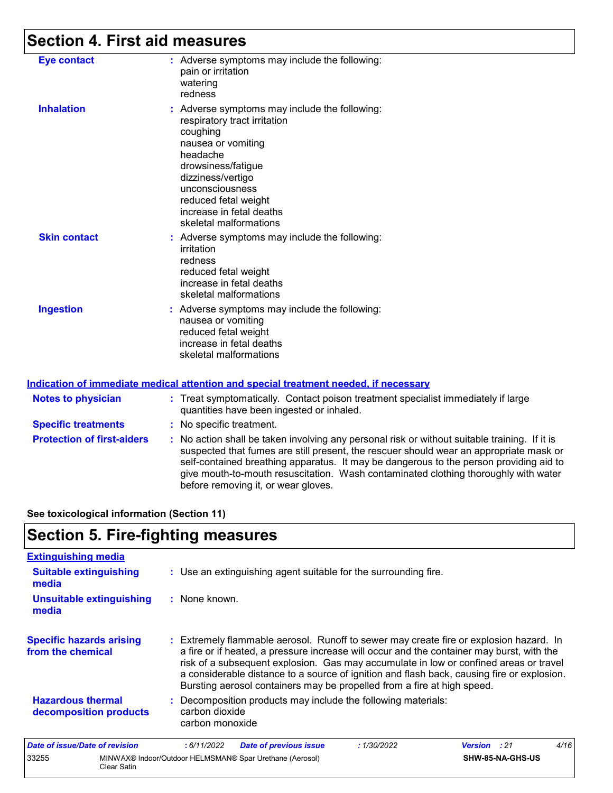### **Section 4. First aid measures**

| <b>Eye contact</b>  | : Adverse symptoms may include the following:<br>pain or irritation<br>watering<br>redness                                                                                                                                                                              |
|---------------------|-------------------------------------------------------------------------------------------------------------------------------------------------------------------------------------------------------------------------------------------------------------------------|
| <b>Inhalation</b>   | : Adverse symptoms may include the following:<br>respiratory tract irritation<br>coughing<br>nausea or vomiting<br>headache<br>drowsiness/fatigue<br>dizziness/vertigo<br>unconsciousness<br>reduced fetal weight<br>increase in fetal deaths<br>skeletal malformations |
| <b>Skin contact</b> | : Adverse symptoms may include the following:<br>irritation<br>redness<br>reduced fetal weight<br>increase in fetal deaths<br>skeletal malformations                                                                                                                    |
| <b>Ingestion</b>    | : Adverse symptoms may include the following:<br>nausea or vomiting<br>reduced fetal weight<br>increase in fetal deaths<br>skeletal malformations                                                                                                                       |

#### **Indication of immediate medical attention and special treatment needed, if necessary**

| <b>Notes to physician</b>         | : Treat symptomatically. Contact poison treatment specialist immediately if large<br>quantities have been ingested or inhaled.                                                                                                                                                                                                                                                                                  |  |
|-----------------------------------|-----------------------------------------------------------------------------------------------------------------------------------------------------------------------------------------------------------------------------------------------------------------------------------------------------------------------------------------------------------------------------------------------------------------|--|
| <b>Specific treatments</b>        | : No specific treatment.                                                                                                                                                                                                                                                                                                                                                                                        |  |
| <b>Protection of first-aiders</b> | : No action shall be taken involving any personal risk or without suitable training. If it is<br>suspected that fumes are still present, the rescuer should wear an appropriate mask or<br>self-contained breathing apparatus. It may be dangerous to the person providing aid to<br>give mouth-to-mouth resuscitation. Wash contaminated clothing thoroughly with water<br>before removing it, or wear gloves. |  |

**See toxicological information (Section 11)**

### **Section 5. Fire-fighting measures**

33255 MINWAX® Indoor/Outdoor HELMSMAN® Spar Urethane (Aerosol)

Clear Satin

| <b>Extinguishing media</b>                           |                                                                                                                                                                                                                                                                                                                                                                                                                                                       |
|------------------------------------------------------|-------------------------------------------------------------------------------------------------------------------------------------------------------------------------------------------------------------------------------------------------------------------------------------------------------------------------------------------------------------------------------------------------------------------------------------------------------|
| <b>Suitable extinguishing</b><br>media               | : Use an extinguishing agent suitable for the surrounding fire.                                                                                                                                                                                                                                                                                                                                                                                       |
| <b>Unsuitable extinguishing</b><br>media             | : None known.                                                                                                                                                                                                                                                                                                                                                                                                                                         |
| <b>Specific hazards arising</b><br>from the chemical | : Extremely flammable aerosol. Runoff to sewer may create fire or explosion hazard. In<br>a fire or if heated, a pressure increase will occur and the container may burst, with the<br>risk of a subsequent explosion. Gas may accumulate in low or confined areas or travel<br>a considerable distance to a source of ignition and flash back, causing fire or explosion.<br>Bursting aerosol containers may be propelled from a fire at high speed. |
| <b>Hazardous thermal</b><br>decomposition products   | : Decomposition products may include the following materials:<br>carbon dioxide<br>carbon monoxide                                                                                                                                                                                                                                                                                                                                                    |
| <b>Date of issue/Date of revision</b>                | 4/16<br><b>Date of previous issue</b><br>: 1/30/2022<br>:6/11/2022<br>Version<br>: 21                                                                                                                                                                                                                                                                                                                                                                 |

**SHW-85-NA-GHS-US**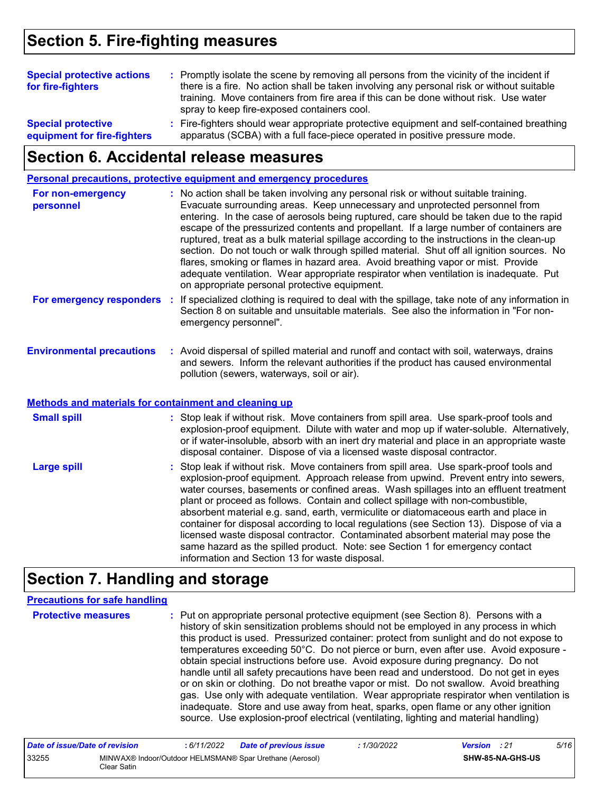### **Section 5. Fire-fighting measures**

| <b>Special protective actions</b><br>for fire-fighters   | : Promptly isolate the scene by removing all persons from the vicinity of the incident if<br>there is a fire. No action shall be taken involving any personal risk or without suitable<br>training. Move containers from fire area if this can be done without risk. Use water<br>spray to keep fire-exposed containers cool. |  |
|----------------------------------------------------------|-------------------------------------------------------------------------------------------------------------------------------------------------------------------------------------------------------------------------------------------------------------------------------------------------------------------------------|--|
| <b>Special protective</b><br>equipment for fire-fighters | : Fire-fighters should wear appropriate protective equipment and self-contained breathing<br>apparatus (SCBA) with a full face-piece operated in positive pressure mode.                                                                                                                                                      |  |

### **Section 6. Accidental release measures**

**Personal precautions, protective equipment and emergency procedures**

| For non-emergency<br>personnel   | : No action shall be taken involving any personal risk or without suitable training.<br>Evacuate surrounding areas. Keep unnecessary and unprotected personnel from<br>entering. In the case of aerosols being ruptured, care should be taken due to the rapid<br>escape of the pressurized contents and propellant. If a large number of containers are<br>ruptured, treat as a bulk material spillage according to the instructions in the clean-up<br>section. Do not touch or walk through spilled material. Shut off all ignition sources. No<br>flares, smoking or flames in hazard area. Avoid breathing vapor or mist. Provide<br>adequate ventilation. Wear appropriate respirator when ventilation is inadequate. Put<br>on appropriate personal protective equipment. |
|----------------------------------|----------------------------------------------------------------------------------------------------------------------------------------------------------------------------------------------------------------------------------------------------------------------------------------------------------------------------------------------------------------------------------------------------------------------------------------------------------------------------------------------------------------------------------------------------------------------------------------------------------------------------------------------------------------------------------------------------------------------------------------------------------------------------------|
| For emergency responders         | : If specialized clothing is required to deal with the spillage, take note of any information in<br>Section 8 on suitable and unsuitable materials. See also the information in "For non-<br>emergency personnel".                                                                                                                                                                                                                                                                                                                                                                                                                                                                                                                                                               |
| <b>Environmental precautions</b> | : Avoid dispersal of spilled material and runoff and contact with soil, waterways, drains<br>and sewers. Inform the relevant authorities if the product has caused environmental                                                                                                                                                                                                                                                                                                                                                                                                                                                                                                                                                                                                 |

pollution (sewers, waterways, soil or air).

#### **Methods and materials for containment and cleaning up**

| <b>Small spill</b> | : Stop leak if without risk. Move containers from spill area. Use spark-proof tools and<br>explosion-proof equipment. Dilute with water and mop up if water-soluble. Alternatively,<br>or if water-insoluble, absorb with an inert dry material and place in an appropriate waste<br>disposal container. Dispose of via a licensed waste disposal contractor.                                                                                                                                                                                                                                                                                                                                                                                                        |
|--------------------|----------------------------------------------------------------------------------------------------------------------------------------------------------------------------------------------------------------------------------------------------------------------------------------------------------------------------------------------------------------------------------------------------------------------------------------------------------------------------------------------------------------------------------------------------------------------------------------------------------------------------------------------------------------------------------------------------------------------------------------------------------------------|
| <b>Large spill</b> | : Stop leak if without risk. Move containers from spill area. Use spark-proof tools and<br>explosion-proof equipment. Approach release from upwind. Prevent entry into sewers,<br>water courses, basements or confined areas. Wash spillages into an effluent treatment<br>plant or proceed as follows. Contain and collect spillage with non-combustible,<br>absorbent material e.g. sand, earth, vermiculite or diatomaceous earth and place in<br>container for disposal according to local regulations (see Section 13). Dispose of via a<br>licensed waste disposal contractor. Contaminated absorbent material may pose the<br>same hazard as the spilled product. Note: see Section 1 for emergency contact<br>information and Section 13 for waste disposal. |

### **Section 7. Handling and storage**

#### **Precautions for safe handling**

**Protective measures Theory of the Exercic personal protective equipment (see Section 8). Persons with a metally** history of skin sensitization problems should not be employed in any process in which this product is used. Pressurized container: protect from sunlight and do not expose to temperatures exceeding 50°C. Do not pierce or burn, even after use. Avoid exposure obtain special instructions before use. Avoid exposure during pregnancy. Do not handle until all safety precautions have been read and understood. Do not get in eyes or on skin or clothing. Do not breathe vapor or mist. Do not swallow. Avoid breathing gas. Use only with adequate ventilation. Wear appropriate respirator when ventilation is inadequate. Store and use away from heat, sparks, open flame or any other ignition source. Use explosion-proof electrical (ventilating, lighting and material handling)

| Date of issue/Date of revision |             | 6/11/2022 | <b>Date of previous issue</b>                            | 1/30/2022 | <b>Version</b> : 21 |                  | 5/16 |
|--------------------------------|-------------|-----------|----------------------------------------------------------|-----------|---------------------|------------------|------|
| 33255                          | Clear Satin |           | MINWAX® Indoor/Outdoor HELMSMAN® Spar Urethane (Aerosol) |           |                     | SHW-85-NA-GHS-US |      |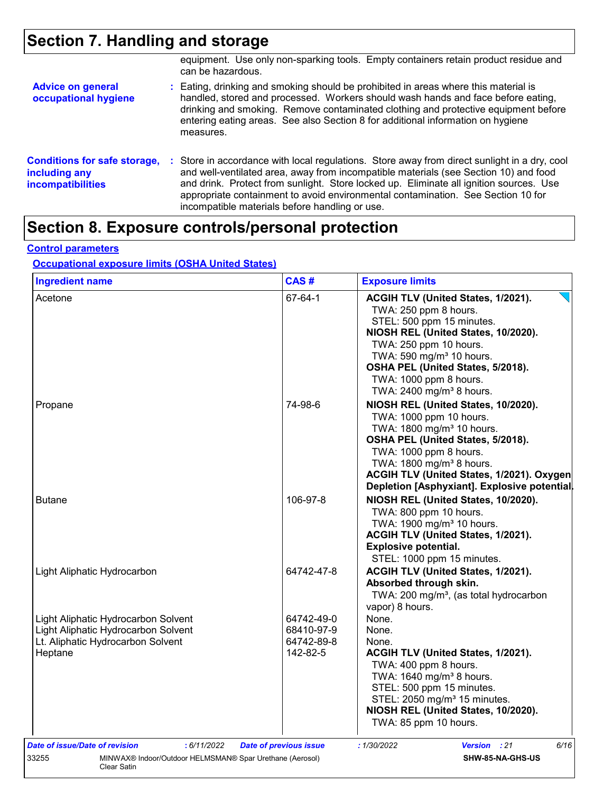## **Section 7. Handling and storage**

|                                                                                  | equipment. Use only non-sparking tools. Empty containers retain product residue and<br>can be hazardous.                                                                                                                                                                                                                                                                                                             |
|----------------------------------------------------------------------------------|----------------------------------------------------------------------------------------------------------------------------------------------------------------------------------------------------------------------------------------------------------------------------------------------------------------------------------------------------------------------------------------------------------------------|
| <b>Advice on general</b><br>occupational hygiene                                 | : Eating, drinking and smoking should be prohibited in areas where this material is<br>handled, stored and processed. Workers should wash hands and face before eating,<br>drinking and smoking. Remove contaminated clothing and protective equipment before<br>entering eating areas. See also Section 8 for additional information on hygiene<br>measures.                                                        |
| <b>Conditions for safe storage,</b><br>including any<br><i>incompatibilities</i> | : Store in accordance with local regulations. Store away from direct sunlight in a dry, cool<br>and well-ventilated area, away from incompatible materials (see Section 10) and food<br>and drink. Protect from sunlight. Store locked up. Eliminate all ignition sources. Use<br>appropriate containment to avoid environmental contamination. See Section 10 for<br>incompatible materials before handling or use. |

### **Section 8. Exposure controls/personal protection**

### **Control parameters**

#### **Occupational exposure limits (OSHA United States)**

| <b>Ingredient name</b>                                                   | CAS#                          | <b>Exposure limits</b>                                                                                                          |
|--------------------------------------------------------------------------|-------------------------------|---------------------------------------------------------------------------------------------------------------------------------|
| Acetone                                                                  | 67-64-1                       | ACGIH TLV (United States, 1/2021).<br>TWA: 250 ppm 8 hours.<br>STEL: 500 ppm 15 minutes.<br>NIOSH REL (United States, 10/2020). |
|                                                                          |                               | TWA: 250 ppm 10 hours.                                                                                                          |
|                                                                          |                               | TWA: 590 mg/m <sup>3</sup> 10 hours.                                                                                            |
|                                                                          |                               | OSHA PEL (United States, 5/2018).                                                                                               |
|                                                                          |                               | TWA: 1000 ppm 8 hours.<br>TWA: 2400 mg/m <sup>3</sup> 8 hours.                                                                  |
|                                                                          |                               |                                                                                                                                 |
| Propane                                                                  | 74-98-6                       | NIOSH REL (United States, 10/2020).                                                                                             |
|                                                                          |                               | TWA: 1000 ppm 10 hours.<br>TWA: 1800 mg/m <sup>3</sup> 10 hours.                                                                |
|                                                                          |                               | OSHA PEL (United States, 5/2018).                                                                                               |
|                                                                          |                               | TWA: 1000 ppm 8 hours.                                                                                                          |
|                                                                          |                               | TWA: 1800 mg/m <sup>3</sup> 8 hours.                                                                                            |
|                                                                          |                               | ACGIH TLV (United States, 1/2021). Oxygen                                                                                       |
|                                                                          |                               | Depletion [Asphyxiant]. Explosive potential.                                                                                    |
| <b>Butane</b>                                                            | 106-97-8                      | NIOSH REL (United States, 10/2020).                                                                                             |
|                                                                          |                               | TWA: 800 ppm 10 hours.                                                                                                          |
|                                                                          |                               | TWA: 1900 mg/m <sup>3</sup> 10 hours.                                                                                           |
|                                                                          |                               | ACGIH TLV (United States, 1/2021).                                                                                              |
|                                                                          |                               | <b>Explosive potential.</b>                                                                                                     |
|                                                                          |                               | STEL: 1000 ppm 15 minutes.                                                                                                      |
| Light Aliphatic Hydrocarbon                                              | 64742-47-8                    | ACGIH TLV (United States, 1/2021).                                                                                              |
|                                                                          |                               | Absorbed through skin.                                                                                                          |
|                                                                          |                               | TWA: 200 mg/m <sup>3</sup> , (as total hydrocarbon                                                                              |
|                                                                          |                               | vapor) 8 hours.                                                                                                                 |
| Light Aliphatic Hydrocarbon Solvent                                      | 64742-49-0                    | None.                                                                                                                           |
| Light Aliphatic Hydrocarbon Solvent<br>Lt. Aliphatic Hydrocarbon Solvent | 68410-97-9<br>64742-89-8      | None.<br>None.                                                                                                                  |
| Heptane                                                                  | 142-82-5                      | ACGIH TLV (United States, 1/2021).                                                                                              |
|                                                                          |                               | TWA: 400 ppm 8 hours.                                                                                                           |
|                                                                          |                               | TWA: 1640 mg/m <sup>3</sup> 8 hours.                                                                                            |
|                                                                          |                               | STEL: 500 ppm 15 minutes.                                                                                                       |
|                                                                          |                               | STEL: 2050 mg/m <sup>3</sup> 15 minutes.                                                                                        |
|                                                                          |                               | NIOSH REL (United States, 10/2020).                                                                                             |
|                                                                          |                               | TWA: 85 ppm 10 hours.                                                                                                           |
| Date of issue/Date of revision<br>: 6/11/2022                            | <b>Date of previous issue</b> | : 1/30/2022<br>6/16<br><b>Version</b> : 21                                                                                      |
| MINWAX® Indoor/Outdoor HELMSMAN® Spar Urethane (Aerosol)<br>33255        |                               | SHW-85-NA-GHS-US                                                                                                                |
| <b>Clear Satin</b>                                                       |                               |                                                                                                                                 |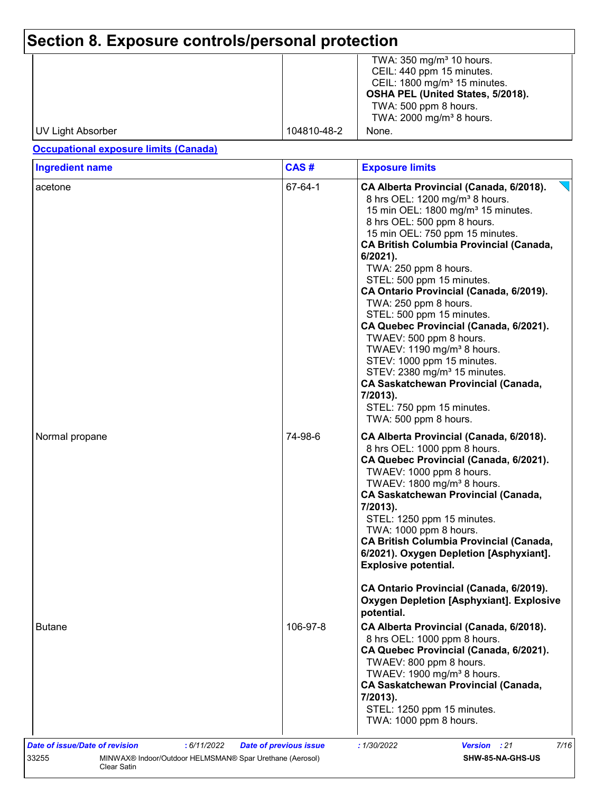# **Section 8. Exposure controls/personal protection**

|                   |             | TWA: $350 \text{ mg/m}^3$ 10 hours.     |
|-------------------|-------------|-----------------------------------------|
|                   |             | CEIL: 440 ppm 15 minutes.               |
|                   |             | CEIL: $1800 \text{ mg/m}^3$ 15 minutes. |
|                   |             | OSHA PEL (United States, 5/2018).       |
|                   |             | TWA: 500 ppm 8 hours.                   |
|                   |             | TWA: 2000 mg/m <sup>3</sup> 8 hours.    |
| UV Light Absorber | 104810-48-2 | None.                                   |

#### **Occupational exposure limits (Canada)**

| CAS#     | <b>Exposure limits</b>                                                                                                                                                                                                                                                                                                                                                                                                                                                                                                                                                                                                                                                                                                                     |
|----------|--------------------------------------------------------------------------------------------------------------------------------------------------------------------------------------------------------------------------------------------------------------------------------------------------------------------------------------------------------------------------------------------------------------------------------------------------------------------------------------------------------------------------------------------------------------------------------------------------------------------------------------------------------------------------------------------------------------------------------------------|
| 67-64-1  | CA Alberta Provincial (Canada, 6/2018).<br>8 hrs OEL: 1200 mg/m <sup>3</sup> 8 hours.<br>15 min OEL: 1800 mg/m <sup>3</sup> 15 minutes.<br>8 hrs OEL: 500 ppm 8 hours.<br>15 min OEL: 750 ppm 15 minutes.<br><b>CA British Columbia Provincial (Canada,</b><br>$6/2021$ ).<br>TWA: 250 ppm 8 hours.<br>STEL: 500 ppm 15 minutes.<br>CA Ontario Provincial (Canada, 6/2019).<br>TWA: 250 ppm 8 hours.<br>STEL: 500 ppm 15 minutes.<br>CA Quebec Provincial (Canada, 6/2021).<br>TWAEV: 500 ppm 8 hours.<br>TWAEV: 1190 mg/m <sup>3</sup> 8 hours.<br>STEV: 1000 ppm 15 minutes.<br>STEV: 2380 mg/m <sup>3</sup> 15 minutes.<br><b>CA Saskatchewan Provincial (Canada,</b><br>7/2013).<br>STEL: 750 ppm 15 minutes.<br>TWA: 500 ppm 8 hours. |
| 74-98-6  | CA Alberta Provincial (Canada, 6/2018).<br>8 hrs OEL: 1000 ppm 8 hours.<br>CA Quebec Provincial (Canada, 6/2021).<br>TWAEV: 1000 ppm 8 hours.<br>TWAEV: 1800 mg/m <sup>3</sup> 8 hours.<br><b>CA Saskatchewan Provincial (Canada,</b><br>7/2013).<br>STEL: 1250 ppm 15 minutes.<br>TWA: 1000 ppm 8 hours.<br><b>CA British Columbia Provincial (Canada,</b><br>6/2021). Oxygen Depletion [Asphyxiant].<br><b>Explosive potential.</b><br>CA Ontario Provincial (Canada, 6/2019).                                                                                                                                                                                                                                                           |
|          | <b>Oxygen Depletion [Asphyxiant]. Explosive</b><br>potential.                                                                                                                                                                                                                                                                                                                                                                                                                                                                                                                                                                                                                                                                              |
| 106-97-8 | CA Alberta Provincial (Canada, 6/2018).<br>8 hrs OEL: 1000 ppm 8 hours.<br>CA Quebec Provincial (Canada, 6/2021).<br>TWAEV: 800 ppm 8 hours.<br>TWAEV: 1900 mg/m <sup>3</sup> 8 hours.<br>CA Saskatchewan Provincial (Canada,<br>7/2013).<br>STEL: 1250 ppm 15 minutes.                                                                                                                                                                                                                                                                                                                                                                                                                                                                    |
|          |                                                                                                                                                                                                                                                                                                                                                                                                                                                                                                                                                                                                                                                                                                                                            |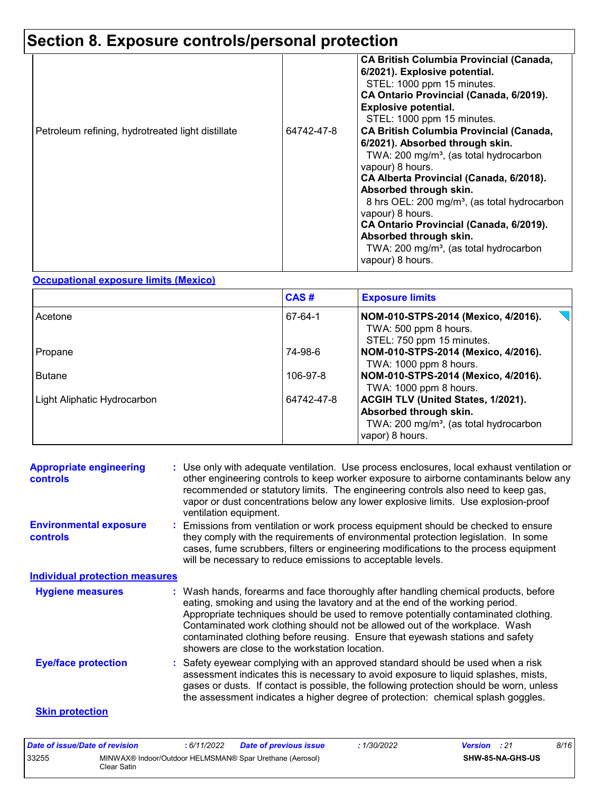## **Section 8. Exposure controls/personal protection**

| Petroleum refining, hydrotreated light distillate | 64742-47-8 | <b>CA British Columbia Provincial (Canada,</b><br>6/2021). Explosive potential.<br>STEL: 1000 ppm 15 minutes.<br>CA Ontario Provincial (Canada, 6/2019).<br><b>Explosive potential.</b><br>STEL: 1000 ppm 15 minutes.<br><b>CA British Columbia Provincial (Canada,</b><br>6/2021). Absorbed through skin.<br>TWA: 200 mg/m <sup>3</sup> , (as total hydrocarbon<br>vapour) 8 hours.<br>CA Alberta Provincial (Canada, 6/2018).<br>Absorbed through skin.<br>8 hrs OEL: 200 mg/m <sup>3</sup> , (as total hydrocarbon<br>vapour) 8 hours.<br>CA Ontario Provincial (Canada, 6/2019).<br>Absorbed through skin.<br>TWA: 200 mg/m <sup>3</sup> , (as total hydrocarbon<br>vapour) 8 hours. |
|---------------------------------------------------|------------|------------------------------------------------------------------------------------------------------------------------------------------------------------------------------------------------------------------------------------------------------------------------------------------------------------------------------------------------------------------------------------------------------------------------------------------------------------------------------------------------------------------------------------------------------------------------------------------------------------------------------------------------------------------------------------------|
|---------------------------------------------------|------------|------------------------------------------------------------------------------------------------------------------------------------------------------------------------------------------------------------------------------------------------------------------------------------------------------------------------------------------------------------------------------------------------------------------------------------------------------------------------------------------------------------------------------------------------------------------------------------------------------------------------------------------------------------------------------------------|

#### **Occupational exposure limits (Mexico)**

|                             | CAS#       | <b>Exposure limits</b>                                                                                                                |
|-----------------------------|------------|---------------------------------------------------------------------------------------------------------------------------------------|
| Acetone                     | 67-64-1    | $\overline{\phantom{a}}$<br>NOM-010-STPS-2014 (Mexico, 4/2016).<br>TWA: 500 ppm 8 hours.<br>STEL: 750 ppm 15 minutes.                 |
| Propane                     | 74-98-6    | NOM-010-STPS-2014 (Mexico, 4/2016).<br>TWA: 1000 ppm 8 hours.                                                                         |
| <b>Butane</b>               | 106-97-8   | NOM-010-STPS-2014 (Mexico, 4/2016).<br>TWA: 1000 ppm 8 hours.                                                                         |
| Light Aliphatic Hydrocarbon | 64742-47-8 | ACGIH TLV (United States, 1/2021).<br>Absorbed through skin.<br>TWA: 200 mg/m <sup>3</sup> , (as total hydrocarbon<br>vapor) 8 hours. |

| <b>Appropriate engineering</b><br><b>controls</b> | : Use only with adequate ventilation. Use process enclosures, local exhaust ventilation or<br>other engineering controls to keep worker exposure to airborne contaminants below any<br>recommended or statutory limits. The engineering controls also need to keep gas,<br>vapor or dust concentrations below any lower explosive limits. Use explosion-proof<br>ventilation equipment.                                                                                     |
|---------------------------------------------------|-----------------------------------------------------------------------------------------------------------------------------------------------------------------------------------------------------------------------------------------------------------------------------------------------------------------------------------------------------------------------------------------------------------------------------------------------------------------------------|
| <b>Environmental exposure</b><br><b>controls</b>  | : Emissions from ventilation or work process equipment should be checked to ensure<br>they comply with the requirements of environmental protection legislation. In some<br>cases, fume scrubbers, filters or engineering modifications to the process equipment<br>will be necessary to reduce emissions to acceptable levels.                                                                                                                                             |
| <b>Individual protection measures</b>             |                                                                                                                                                                                                                                                                                                                                                                                                                                                                             |
| <b>Hygiene measures</b>                           | : Wash hands, forearms and face thoroughly after handling chemical products, before<br>eating, smoking and using the lavatory and at the end of the working period.<br>Appropriate techniques should be used to remove potentially contaminated clothing.<br>Contaminated work clothing should not be allowed out of the workplace. Wash<br>contaminated clothing before reusing. Ensure that eyewash stations and safety<br>showers are close to the workstation location. |
| <b>Eye/face protection</b>                        | : Safety eyewear complying with an approved standard should be used when a risk<br>assessment indicates this is necessary to avoid exposure to liquid splashes, mists,<br>gases or dusts. If contact is possible, the following protection should be worn, unless<br>the assessment indicates a higher degree of protection: chemical splash goggles.                                                                                                                       |
| <b>Skin protection</b>                            |                                                                                                                                                                                                                                                                                                                                                                                                                                                                             |

| Date of issue/Date of revision |             | : 6/11/2022 | <b>Date of previous issue</b>                            | : 1/30/2022 | <b>Version</b> : 21 |                         | 8/16 |
|--------------------------------|-------------|-------------|----------------------------------------------------------|-------------|---------------------|-------------------------|------|
| 33255                          | Clear Satin |             | MINWAX® Indoor/Outdoor HELMSMAN® Spar Urethane (Aerosol) |             |                     | <b>SHW-85-NA-GHS-US</b> |      |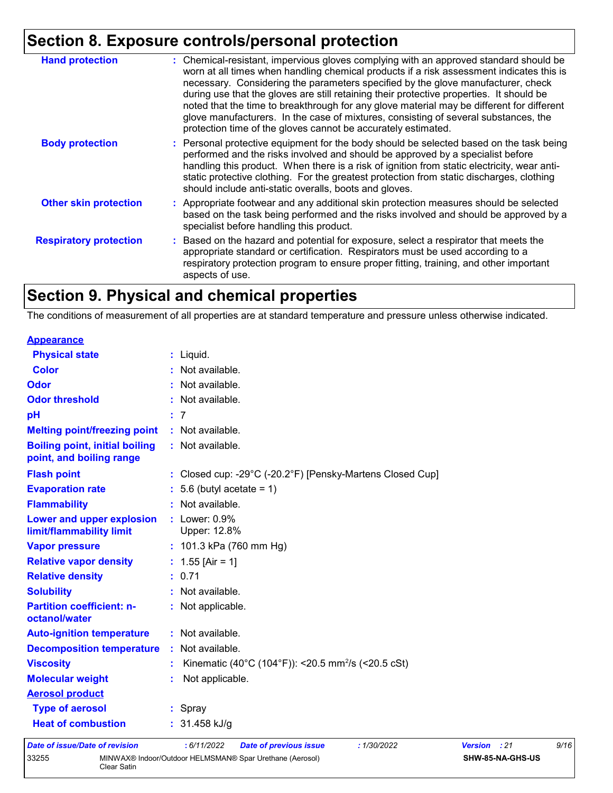## **Section 8. Exposure controls/personal protection**

| <b>Hand protection</b>        | : Chemical-resistant, impervious gloves complying with an approved standard should be<br>worn at all times when handling chemical products if a risk assessment indicates this is<br>necessary. Considering the parameters specified by the glove manufacturer, check<br>during use that the gloves are still retaining their protective properties. It should be<br>noted that the time to breakthrough for any glove material may be different for different<br>glove manufacturers. In the case of mixtures, consisting of several substances, the<br>protection time of the gloves cannot be accurately estimated. |
|-------------------------------|------------------------------------------------------------------------------------------------------------------------------------------------------------------------------------------------------------------------------------------------------------------------------------------------------------------------------------------------------------------------------------------------------------------------------------------------------------------------------------------------------------------------------------------------------------------------------------------------------------------------|
| <b>Body protection</b>        | : Personal protective equipment for the body should be selected based on the task being<br>performed and the risks involved and should be approved by a specialist before<br>handling this product. When there is a risk of ignition from static electricity, wear anti-<br>static protective clothing. For the greatest protection from static discharges, clothing<br>should include anti-static overalls, boots and gloves.                                                                                                                                                                                         |
| <b>Other skin protection</b>  | : Appropriate footwear and any additional skin protection measures should be selected<br>based on the task being performed and the risks involved and should be approved by a<br>specialist before handling this product.                                                                                                                                                                                                                                                                                                                                                                                              |
| <b>Respiratory protection</b> | : Based on the hazard and potential for exposure, select a respirator that meets the<br>appropriate standard or certification. Respirators must be used according to a<br>respiratory protection program to ensure proper fitting, training, and other important<br>aspects of use.                                                                                                                                                                                                                                                                                                                                    |

### **Section 9. Physical and chemical properties**

The conditions of measurement of all properties are at standard temperature and pressure unless otherwise indicated.

| <b>Appearance</b>                                                 |                                                                                    |
|-------------------------------------------------------------------|------------------------------------------------------------------------------------|
| <b>Physical state</b>                                             | $:$ Liquid.                                                                        |
| Color                                                             | : Not available.                                                                   |
| <b>Odor</b>                                                       | : Not available.                                                                   |
| <b>Odor threshold</b>                                             | : Not available.                                                                   |
| pH                                                                | : 7                                                                                |
| <b>Melting point/freezing point</b>                               | : Not available.                                                                   |
| <b>Boiling point, initial boiling</b><br>point, and boiling range | : Not available.                                                                   |
| <b>Flash point</b>                                                | : Closed cup: -29°C (-20.2°F) [Pensky-Martens Closed Cup]                          |
| <b>Evaporation rate</b>                                           | $: 5.6$ (butyl acetate = 1)                                                        |
| <b>Flammability</b>                                               | : Not available.                                                                   |
| Lower and upper explosion<br>limit/flammability limit             | $:$ Lower: $0.9\%$<br>Upper: 12.8%                                                 |
| <b>Vapor pressure</b>                                             | : $101.3$ kPa (760 mm Hg)                                                          |
| <b>Relative vapor density</b>                                     | : $1.55$ [Air = 1]                                                                 |
| <b>Relative density</b>                                           | : 0.71                                                                             |
| <b>Solubility</b>                                                 | : Not available.                                                                   |
| <b>Partition coefficient: n-</b><br>octanol/water                 | : Not applicable.                                                                  |
| <b>Auto-ignition temperature</b>                                  | : Not available.                                                                   |
| <b>Decomposition temperature</b>                                  | : Not available.                                                                   |
| <b>Viscosity</b>                                                  | Kinematic (40°C (104°F)): <20.5 mm <sup>2</sup> /s (<20.5 cSt)                     |
| <b>Molecular weight</b>                                           | Not applicable.                                                                    |
| <b>Aerosol product</b>                                            |                                                                                    |
| <b>Type of aerosol</b>                                            | : Spray                                                                            |
| <b>Heat of combustion</b>                                         | : $31.458$ kJ/g                                                                    |
| Date of issue/Date of revision                                    | 6/11/2022<br><b>Date of previous issue</b><br>:1/30/2022<br>: 21<br><b>Version</b> |

| Date of issue/Date of revision |             | : 6/11/2022 | Date of previous issue                                   | 1/30/2022 | <b>Version</b> : 21 |                         | 9/16 |  |
|--------------------------------|-------------|-------------|----------------------------------------------------------|-----------|---------------------|-------------------------|------|--|
| 33255                          | Clear Satin |             | MINWAX® Indoor/Outdoor HELMSMAN® Spar Urethane (Aerosol) |           |                     | <b>SHW-85-NA-GHS-US</b> |      |  |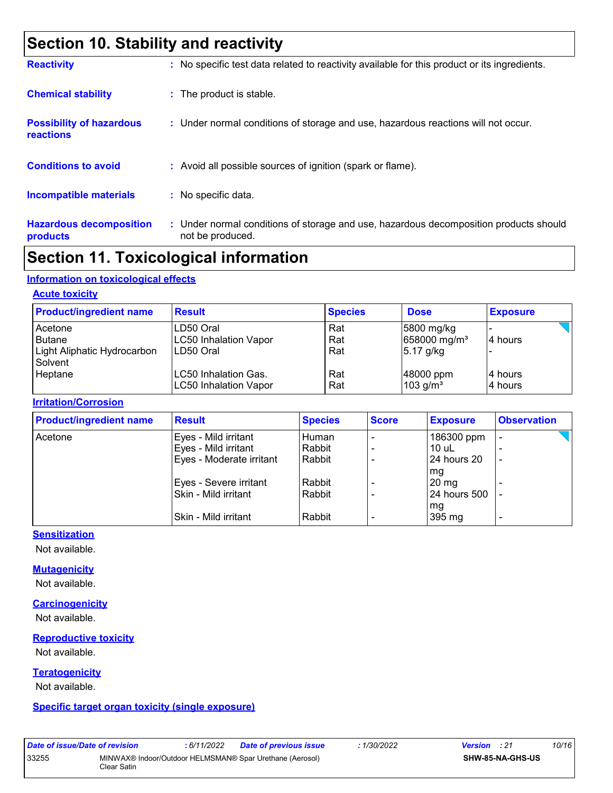### **Section 10. Stability and reactivity**

| <b>Reactivity</b>                            | : No specific test data related to reactivity available for this product or its ingredients.              |
|----------------------------------------------|-----------------------------------------------------------------------------------------------------------|
| <b>Chemical stability</b>                    | : The product is stable.                                                                                  |
| <b>Possibility of hazardous</b><br>reactions | : Under normal conditions of storage and use, hazardous reactions will not occur.                         |
| <b>Conditions to avoid</b>                   | : Avoid all possible sources of ignition (spark or flame).                                                |
| <b>Incompatible materials</b>                | : No specific data.                                                                                       |
| <b>Hazardous decomposition</b><br>products   | : Under normal conditions of storage and use, hazardous decomposition products should<br>not be produced. |

### **Section 11. Toxicological information**

#### **Information on toxicological effects**

#### **Acute toxicity**

| <b>Product/ingredient name</b>                                     | <b>Result</b>                                          | <b>Species</b>    | <b>Dose</b>                                           | <b>Exposure</b>     |
|--------------------------------------------------------------------|--------------------------------------------------------|-------------------|-------------------------------------------------------|---------------------|
| Acetone<br><b>Butane</b><br>Light Aliphatic Hydrocarbon<br>Solvent | LD50 Oral<br><b>LC50 Inhalation Vapor</b><br>LD50 Oral | Rat<br>Rat<br>Rat | 5800 mg/kg<br>658000 mg/m <sup>3</sup><br>$5.17$ g/kg | 14 hours            |
| Heptane                                                            | LC50 Inhalation Gas.<br><b>LC50 Inhalation Vapor</b>   | Rat<br>Rat        | 48000 ppm<br>$103$ g/m <sup>3</sup>                   | 14 hours<br>4 hours |

#### **Irritation/Corrosion**

| <b>Product/ingredient name</b> | <b>Result</b>            | <b>Species</b> | <b>Score</b> | <b>Exposure</b>     | <b>Observation</b>       |  |
|--------------------------------|--------------------------|----------------|--------------|---------------------|--------------------------|--|
| Acetone                        | Eyes - Mild irritant     | Human.         |              | 186300 ppm          | $\overline{\phantom{0}}$ |  |
|                                | Eyes - Mild irritant     | Rabbit         |              | $10$ uL             |                          |  |
|                                | Eyes - Moderate irritant | Rabbit         |              | 24 hours 20         | $\overline{a}$           |  |
|                                |                          |                |              | mg                  |                          |  |
|                                | Eyes - Severe irritant   | Rabbit         |              | $20 \,\mathrm{mg}$  |                          |  |
|                                | Skin - Mild irritant     | Rabbit         |              | <b>24 hours 500</b> |                          |  |
|                                |                          |                |              | mg                  |                          |  |
|                                | ISkin - Mild irritant    | Rabbit         |              | 395 mg              | $\overline{\phantom{0}}$ |  |

#### **Sensitization**

Not available.

#### **Mutagenicity**

Not available.

#### **Carcinogenicity**

Not available.

#### **Reproductive toxicity**

Not available.

#### **Teratogenicity**

Not available.

#### **Specific target organ toxicity (single exposure)**

| <i>Date of Issue/Date of re</i> |     |
|---------------------------------|-----|
| 33255                           | MIN |
|                                 |     |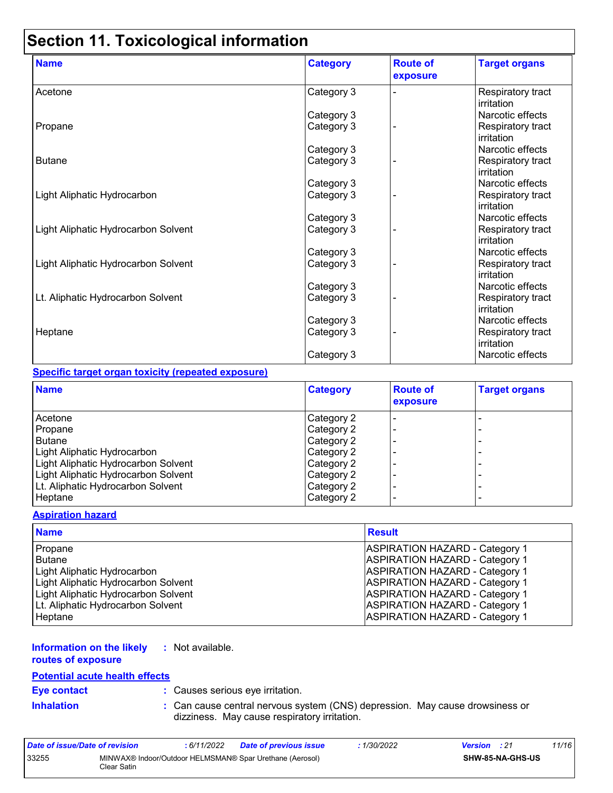## **Section 11. Toxicological information**

| <b>Name</b>                         | <b>Category</b> | <b>Route of</b><br>exposure | <b>Target organs</b>            |
|-------------------------------------|-----------------|-----------------------------|---------------------------------|
| Acetone                             | Category 3      |                             | Respiratory tract<br>irritation |
|                                     | Category 3      |                             | Narcotic effects                |
| Propane                             | Category 3      |                             | Respiratory tract<br>irritation |
|                                     | Category 3      |                             | Narcotic effects                |
| <b>Butane</b>                       | Category 3      |                             | Respiratory tract<br>irritation |
|                                     | Category 3      |                             | Narcotic effects                |
| Light Aliphatic Hydrocarbon         | Category 3      |                             | Respiratory tract<br>irritation |
|                                     | Category 3      |                             | Narcotic effects                |
| Light Aliphatic Hydrocarbon Solvent | Category 3      |                             | Respiratory tract<br>irritation |
|                                     | Category 3      |                             | Narcotic effects                |
| Light Aliphatic Hydrocarbon Solvent | Category 3      |                             | Respiratory tract<br>irritation |
|                                     | Category 3      |                             | Narcotic effects                |
| Lt. Aliphatic Hydrocarbon Solvent   | Category 3      |                             | Respiratory tract<br>irritation |
|                                     | Category 3      |                             | Narcotic effects                |
| Heptane                             | Category 3      |                             | Respiratory tract<br>irritation |
|                                     | Category 3      |                             | Narcotic effects                |

#### **Specific target organ toxicity (repeated exposure)**

| <b>Name</b>                         | <b>Category</b> | <b>Route of</b><br>exposure | <b>Target organs</b>     |
|-------------------------------------|-----------------|-----------------------------|--------------------------|
| Acetone                             | Category 2      |                             |                          |
| Propane                             | Category 2      |                             |                          |
| <b>Butane</b>                       | Category 2      |                             |                          |
| Light Aliphatic Hydrocarbon         | Category 2      |                             | -                        |
| Light Aliphatic Hydrocarbon Solvent | Category 2      |                             |                          |
| Light Aliphatic Hydrocarbon Solvent | Category 2      |                             | -                        |
| Lt. Aliphatic Hydrocarbon Solvent   | Category 2      |                             |                          |
| Heptane                             | Category 2      |                             | $\overline{\phantom{0}}$ |

#### **Aspiration hazard**

| <b>Name</b>                         | <b>Result</b>                         |
|-------------------------------------|---------------------------------------|
| Propane                             | <b>ASPIRATION HAZARD - Category 1</b> |
| <b>Butane</b>                       | <b>ASPIRATION HAZARD - Category 1</b> |
| <b>Light Aliphatic Hydrocarbon</b>  | <b>ASPIRATION HAZARD - Category 1</b> |
| Light Aliphatic Hydrocarbon Solvent | <b>ASPIRATION HAZARD - Category 1</b> |
| Light Aliphatic Hydrocarbon Solvent | <b>ASPIRATION HAZARD - Category 1</b> |
| Lt. Aliphatic Hydrocarbon Solvent   | <b>ASPIRATION HAZARD - Category 1</b> |
| Heptane                             | <b>ASPIRATION HAZARD - Category 1</b> |

#### **Information on the likely :** Not available.

**routes of exposure**

### **Potential acute health effects**

**Eye contact :** Causes serious eye irritation.

**Inhalation :** Can cause central nervous system (CNS) depression. May cause drowsiness or dizziness. May cause respiratory irritation.

| Date of issue/Date of revision |             | : 6/11/2022 | <b>Date of previous issue</b>                            | : 1/30/2022 | <b>Version</b> : 21 |                         | 11/16 |
|--------------------------------|-------------|-------------|----------------------------------------------------------|-------------|---------------------|-------------------------|-------|
| 33255                          | Clear Satin |             | MINWAX® Indoor/Outdoor HELMSMAN® Spar Urethane (Aerosol) |             |                     | <b>SHW-85-NA-GHS-US</b> |       |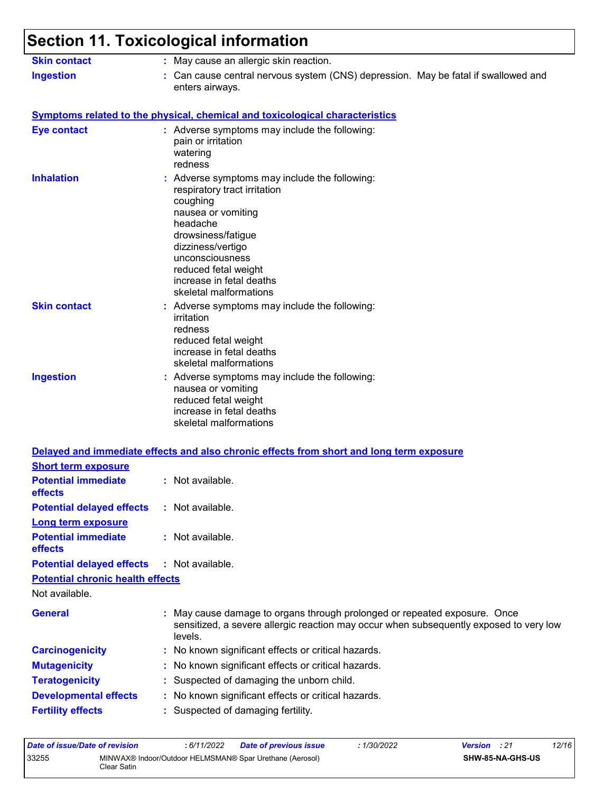| <b>Skin contact</b>                                                 | : May cause an allergic skin reaction.                                                                                                                                                                                                                                  |
|---------------------------------------------------------------------|-------------------------------------------------------------------------------------------------------------------------------------------------------------------------------------------------------------------------------------------------------------------------|
| <b>Ingestion</b>                                                    | : Can cause central nervous system (CNS) depression. May be fatal if swallowed and<br>enters airways.                                                                                                                                                                   |
|                                                                     | <b>Symptoms related to the physical, chemical and toxicological characteristics</b>                                                                                                                                                                                     |
| <b>Eye contact</b>                                                  | : Adverse symptoms may include the following:<br>pain or irritation<br>watering<br>redness                                                                                                                                                                              |
| <b>Inhalation</b>                                                   | : Adverse symptoms may include the following:<br>respiratory tract irritation<br>coughing<br>nausea or vomiting<br>headache<br>drowsiness/fatigue<br>dizziness/vertigo<br>unconsciousness<br>reduced fetal weight<br>increase in fetal deaths<br>skeletal malformations |
| <b>Skin contact</b>                                                 | : Adverse symptoms may include the following:<br>irritation<br>redness<br>reduced fetal weight<br>increase in fetal deaths<br>skeletal malformations                                                                                                                    |
| <b>Ingestion</b>                                                    | : Adverse symptoms may include the following:<br>nausea or vomiting<br>reduced fetal weight<br>increase in fetal deaths<br>skeletal malformations                                                                                                                       |
|                                                                     | Delayed and immediate effects and also chronic effects from short and long term exposure                                                                                                                                                                                |
| <b>Short term exposure</b><br><b>Potential immediate</b><br>effects | : Not available                                                                                                                                                                                                                                                         |
| <b>Potential delayed effects</b>                                    | : Not available.                                                                                                                                                                                                                                                        |
| Long term exposure<br><b>Potential immediate</b><br>effects         | : Not available.                                                                                                                                                                                                                                                        |
| <b>Potential delayed effects</b>                                    | : Not available.                                                                                                                                                                                                                                                        |
| <b>Potential chronic health effects</b>                             |                                                                                                                                                                                                                                                                         |
| Not available.                                                      |                                                                                                                                                                                                                                                                         |
| <b>General</b>                                                      | : May cause damage to organs through prolonged or repeated exposure. Once<br>sensitized, a severe allergic reaction may occur when subsequently exposed to very low<br>levels.                                                                                          |
| <b>Carcinogenicity</b>                                              | : No known significant effects or critical hazards.                                                                                                                                                                                                                     |
| <b>Mutagenicity</b>                                                 | : No known significant effects or critical hazards.                                                                                                                                                                                                                     |
| <b>Teratogenicity</b>                                               | : Suspected of damaging the unborn child.                                                                                                                                                                                                                               |
|                                                                     | : No known significant effects or critical hazards.                                                                                                                                                                                                                     |
| <b>Developmental effects</b>                                        |                                                                                                                                                                                                                                                                         |

| Date of issue/Date of revision                                                   |  | : 6/11/2022 | Date of previous issue | : 1/30/2022             | <b>Version</b> : 21 | 12/16 |
|----------------------------------------------------------------------------------|--|-------------|------------------------|-------------------------|---------------------|-------|
| 33255<br>MINWAX® Indoor/Outdoor HELMSMAN® Spar Urethane (Aerosol)<br>Clear Satin |  |             |                        | <b>SHW-85-NA-GHS-US</b> |                     |       |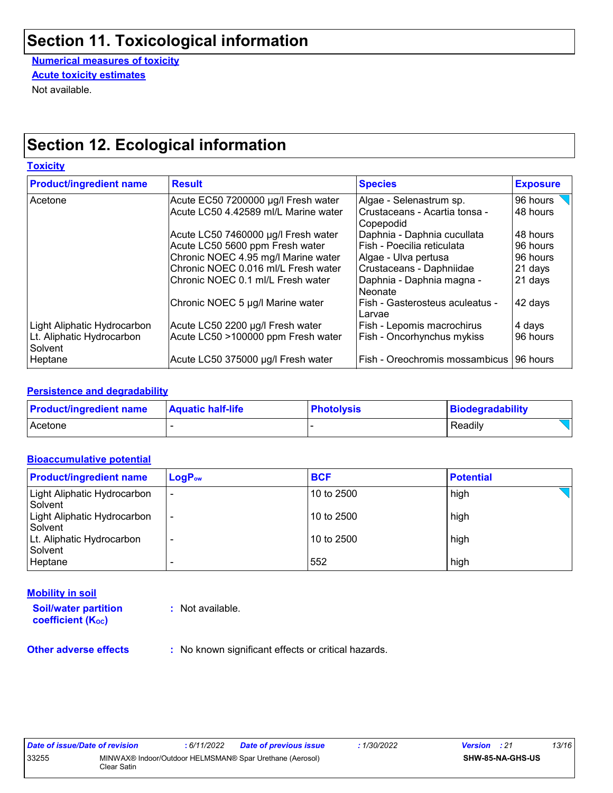### **Section 11. Toxicological information**

**Numerical measures of toxicity Acute toxicity estimates**

Not available.

### **Section 12. Ecological information**

| <b>Toxicity</b>                      |                                      |                                              |                 |  |  |
|--------------------------------------|--------------------------------------|----------------------------------------------|-----------------|--|--|
| <b>Product/ingredient name</b>       | <b>Result</b>                        | <b>Species</b>                               | <b>Exposure</b> |  |  |
| Acetone                              | Acute EC50 7200000 µg/l Fresh water  | Algae - Selenastrum sp.                      | 96 hours        |  |  |
|                                      | Acute LC50 4.42589 ml/L Marine water | Crustaceans - Acartia tonsa -<br>  Copepodid | 48 hours        |  |  |
|                                      | Acute LC50 7460000 µg/l Fresh water  | Daphnia - Daphnia cucullata                  | 48 hours        |  |  |
|                                      | Acute LC50 5600 ppm Fresh water      | Fish - Poecilia reticulata                   | 96 hours        |  |  |
|                                      | Chronic NOEC 4.95 mg/l Marine water  | Algae - Ulva pertusa                         | 96 hours        |  |  |
|                                      | Chronic NOEC 0.016 ml/L Fresh water  | Crustaceans - Daphniidae                     | 21 days         |  |  |
|                                      | Chronic NOEC 0.1 ml/L Fresh water    | Daphnia - Daphnia magna -<br>Neonate         | 21 days         |  |  |
|                                      | Chronic NOEC 5 µg/l Marine water     | Fish - Gasterosteus aculeatus -<br>Larvae    | 42 days         |  |  |
| Light Aliphatic Hydrocarbon          | Acute LC50 2200 µg/l Fresh water     | Fish - Lepomis macrochirus                   | 4 days          |  |  |
| Lt. Aliphatic Hydrocarbon<br>Solvent | Acute LC50 >100000 ppm Fresh water   | Fish - Oncorhynchus mykiss                   | 96 hours        |  |  |
| Heptane                              | Acute LC50 375000 µg/l Fresh water   | Fish - Oreochromis mossambicus               | 196 hours       |  |  |

#### **Persistence and degradability**

| <b>Product/ingredient name</b> | <b>Aquatic half-life</b> | <b>Photolysis</b> | Biodegradability |
|--------------------------------|--------------------------|-------------------|------------------|
| Acetone                        |                          |                   | Readily          |

#### **Bioaccumulative potential**

| <b>Product/ingredient name</b>         | $LogP_{ow}$ | <b>BCF</b> | <b>Potential</b> |
|----------------------------------------|-------------|------------|------------------|
| Light Aliphatic Hydrocarbon<br>Solvent | ۰           | 10 to 2500 | high             |
| Light Aliphatic Hydrocarbon<br>Solvent | ۰           | 10 to 2500 | high             |
| Lt. Aliphatic Hydrocarbon<br>Solvent   |             | 10 to 2500 | high             |
| Heptane                                |             | 552        | high             |

#### **Mobility in soil**

**Soil/water partition coefficient (Koc)** 

**:** Not available.

**Other adverse effects** : No known significant effects or critical hazards.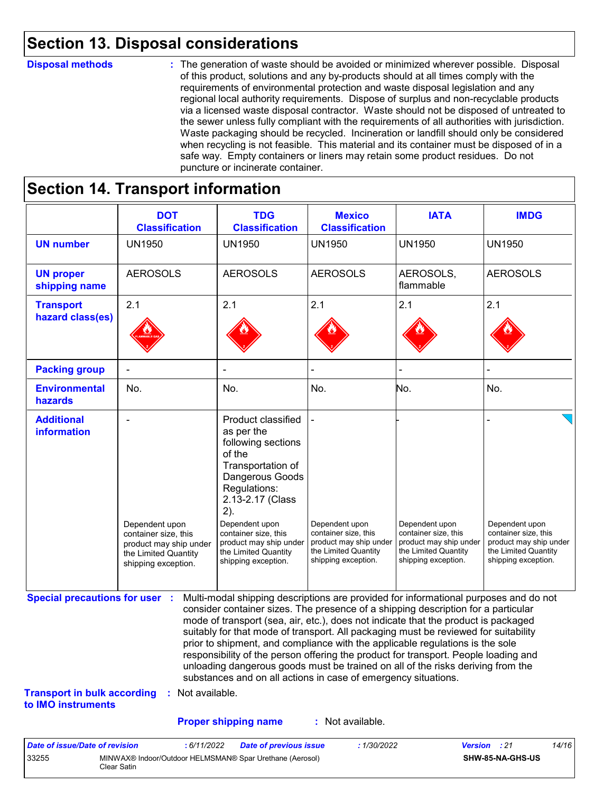### **Section 13. Disposal considerations**

#### **Disposal methods :**

The generation of waste should be avoided or minimized wherever possible. Disposal of this product, solutions and any by-products should at all times comply with the requirements of environmental protection and waste disposal legislation and any regional local authority requirements. Dispose of surplus and non-recyclable products via a licensed waste disposal contractor. Waste should not be disposed of untreated to the sewer unless fully compliant with the requirements of all authorities with jurisdiction. Waste packaging should be recycled. Incineration or landfill should only be considered when recycling is not feasible. This material and its container must be disposed of in a safe way. Empty containers or liners may retain some product residues. Do not puncture or incinerate container.

### **Section 14. Transport information**

33255 MINWAX® Indoor/Outdoor HELMSMAN® Spar Urethane (Aerosol)

Clear Satin

|                                                                             | <b>DOT</b><br><b>Classification</b>                                                                             | <b>TDG</b><br><b>Classification</b>                                                                                                                                                                                                                                                                                                                                                                                                                                                                                                                                                                                                                                                 | <b>Mexico</b><br><b>Classification</b>                                                                          | <b>IATA</b>                                                                                                     | <b>IMDG</b>                                                                                                     |
|-----------------------------------------------------------------------------|-----------------------------------------------------------------------------------------------------------------|-------------------------------------------------------------------------------------------------------------------------------------------------------------------------------------------------------------------------------------------------------------------------------------------------------------------------------------------------------------------------------------------------------------------------------------------------------------------------------------------------------------------------------------------------------------------------------------------------------------------------------------------------------------------------------------|-----------------------------------------------------------------------------------------------------------------|-----------------------------------------------------------------------------------------------------------------|-----------------------------------------------------------------------------------------------------------------|
| <b>UN number</b>                                                            | <b>UN1950</b>                                                                                                   | <b>UN1950</b>                                                                                                                                                                                                                                                                                                                                                                                                                                                                                                                                                                                                                                                                       | <b>UN1950</b>                                                                                                   | <b>UN1950</b>                                                                                                   | <b>UN1950</b>                                                                                                   |
| <b>UN proper</b><br>shipping name                                           | <b>AEROSOLS</b>                                                                                                 | <b>AEROSOLS</b>                                                                                                                                                                                                                                                                                                                                                                                                                                                                                                                                                                                                                                                                     | <b>AEROSOLS</b>                                                                                                 | AEROSOLS,<br>flammable                                                                                          | <b>AEROSOLS</b>                                                                                                 |
| <b>Transport</b><br>hazard class(es)                                        | 2.1                                                                                                             | 2.1                                                                                                                                                                                                                                                                                                                                                                                                                                                                                                                                                                                                                                                                                 | 2.1                                                                                                             | 2.1                                                                                                             | 2.1                                                                                                             |
| <b>Packing group</b>                                                        |                                                                                                                 |                                                                                                                                                                                                                                                                                                                                                                                                                                                                                                                                                                                                                                                                                     |                                                                                                                 |                                                                                                                 |                                                                                                                 |
| <b>Environmental</b><br>hazards                                             | No.                                                                                                             | No.                                                                                                                                                                                                                                                                                                                                                                                                                                                                                                                                                                                                                                                                                 | No.                                                                                                             | No.                                                                                                             | No.                                                                                                             |
| <b>Additional</b><br>information                                            | Dependent upon<br>container size, this<br>product may ship under<br>the Limited Quantity<br>shipping exception. | Product classified<br>as per the<br>following sections<br>of the<br>Transportation of<br>Dangerous Goods<br>Regulations:<br>2.13-2.17 (Class<br>2).<br>Dependent upon<br>container size, this<br>product may ship under<br>the Limited Quantity<br>shipping exception.                                                                                                                                                                                                                                                                                                                                                                                                              | Dependent upon<br>container size, this<br>product may ship under<br>the Limited Quantity<br>shipping exception. | Dependent upon<br>container size, this<br>product may ship under<br>the Limited Quantity<br>shipping exception. | Dependent upon<br>container size, this<br>product may ship under<br>the Limited Quantity<br>shipping exception. |
| <b>Special precautions for user :</b><br><b>Transport in bulk according</b> | : Not available.                                                                                                | Multi-modal shipping descriptions are provided for informational purposes and do not<br>consider container sizes. The presence of a shipping description for a particular<br>mode of transport (sea, air, etc.), does not indicate that the product is packaged<br>suitably for that mode of transport. All packaging must be reviewed for suitability<br>prior to shipment, and compliance with the applicable regulations is the sole<br>responsibility of the person offering the product for transport. People loading and<br>unloading dangerous goods must be trained on all of the risks deriving from the<br>substances and on all actions in case of emergency situations. |                                                                                                                 |                                                                                                                 |                                                                                                                 |
| to IMO instruments                                                          |                                                                                                                 |                                                                                                                                                                                                                                                                                                                                                                                                                                                                                                                                                                                                                                                                                     |                                                                                                                 |                                                                                                                 |                                                                                                                 |
|                                                                             |                                                                                                                 | <b>Proper shipping name</b>                                                                                                                                                                                                                                                                                                                                                                                                                                                                                                                                                                                                                                                         | : Not available.                                                                                                |                                                                                                                 |                                                                                                                 |

**SHW-85-NA-GHS-US**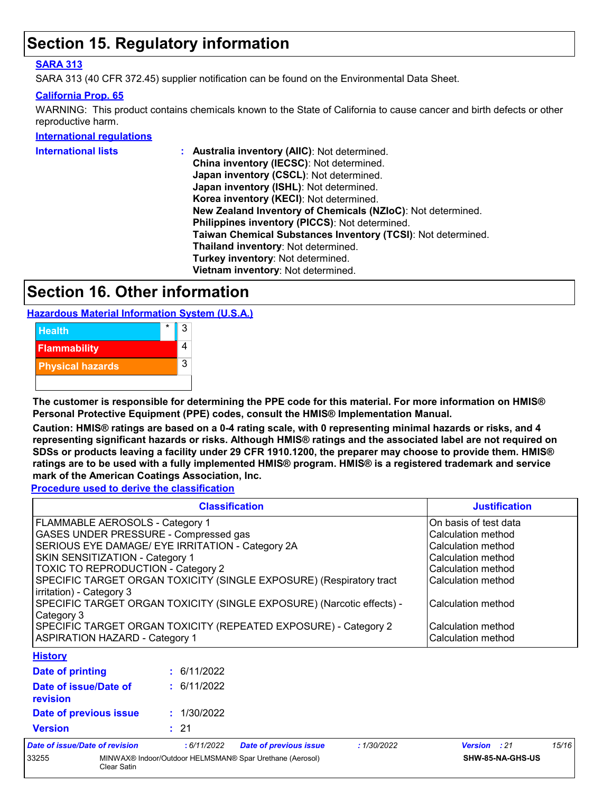### **Section 15. Regulatory information**

#### **SARA 313**

SARA 313 (40 CFR 372.45) supplier notification can be found on the Environmental Data Sheet.

#### **California Prop. 65**

WARNING: This product contains chemicals known to the State of California to cause cancer and birth defects or other reproductive harm.

**International regulations**

| <b>International lists</b> | Australia inventory (AIIC): Not determined.                  |
|----------------------------|--------------------------------------------------------------|
|                            | China inventory (IECSC): Not determined.                     |
|                            | Japan inventory (CSCL): Not determined.                      |
|                            | Japan inventory (ISHL): Not determined.                      |
|                            | Korea inventory (KECI): Not determined.                      |
|                            | New Zealand Inventory of Chemicals (NZIoC): Not determined.  |
|                            | Philippines inventory (PICCS): Not determined.               |
|                            | Taiwan Chemical Substances Inventory (TCSI): Not determined. |
|                            | Thailand inventory: Not determined.                          |
|                            | Turkey inventory: Not determined.                            |
|                            | Vietnam inventory: Not determined.                           |
|                            |                                                              |

### **Section 16. Other information**

**Hazardous Material Information System (U.S.A.)**



**The customer is responsible for determining the PPE code for this material. For more information on HMIS® Personal Protective Equipment (PPE) codes, consult the HMIS® Implementation Manual.**

**Caution: HMIS® ratings are based on a 0-4 rating scale, with 0 representing minimal hazards or risks, and 4 representing significant hazards or risks. Although HMIS® ratings and the associated label are not required on SDSs or products leaving a facility under 29 CFR 1910.1200, the preparer may choose to provide them. HMIS® ratings are to be used with a fully implemented HMIS® program. HMIS® is a registered trademark and service mark of the American Coatings Association, Inc.**

**Procedure used to derive the classification**

|                                                                       | <b>Justification</b>                                                |                               |
|-----------------------------------------------------------------------|---------------------------------------------------------------------|-------------------------------|
| FLAMMABLE AEROSOLS - Category 1                                       | On basis of test data                                               |                               |
| GASES UNDER PRESSURE - Compressed gas                                 |                                                                     | Calculation method            |
|                                                                       | SERIOUS EYE DAMAGE/ EYE IRRITATION - Category 2A                    | Calculation method            |
| SKIN SENSITIZATION - Category 1                                       |                                                                     | Calculation method            |
| <b>TOXIC TO REPRODUCTION - Category 2</b>                             |                                                                     | Calculation method            |
|                                                                       | SPECIFIC TARGET ORGAN TOXICITY (SINGLE EXPOSURE) (Respiratory tract | Calculation method            |
| irritation) - Category 3                                              |                                                                     |                               |
| SPECIFIC TARGET ORGAN TOXICITY (SINGLE EXPOSURE) (Narcotic effects) - | Calculation method                                                  |                               |
| Category 3                                                            |                                                                     |                               |
| SPECIFIC TARGET ORGAN TOXICITY (REPEATED EXPOSURE) - Category 2       | Calculation method                                                  |                               |
| <b>ASPIRATION HAZARD - Category 1</b>                                 | Calculation method                                                  |                               |
| <b>History</b>                                                        |                                                                     |                               |
| Date of printing                                                      | : 6/11/2022                                                         |                               |
| Date of issue/Date of                                                 | : 6/11/2022                                                         |                               |
| revision                                                              |                                                                     |                               |
| Date of previous issue                                                | : 1/30/2022                                                         |                               |
| <b>Version</b>                                                        | : 21                                                                |                               |
| . . <b> .</b>                                                         |                                                                     | $\lambda = \lambda + \lambda$ |

| Date of issue/Date of revision |             | 6/11/2022 | <b>Date of previous issue</b>                            | 1/30/2022 | <b>Version</b> : 21 |                  | 15/16 |
|--------------------------------|-------------|-----------|----------------------------------------------------------|-----------|---------------------|------------------|-------|
| 33255                          | Clear Satin |           | MINWAX® Indoor/Outdoor HELMSMAN® Spar Urethane (Aerosol) |           |                     | SHW-85-NA-GHS-US |       |